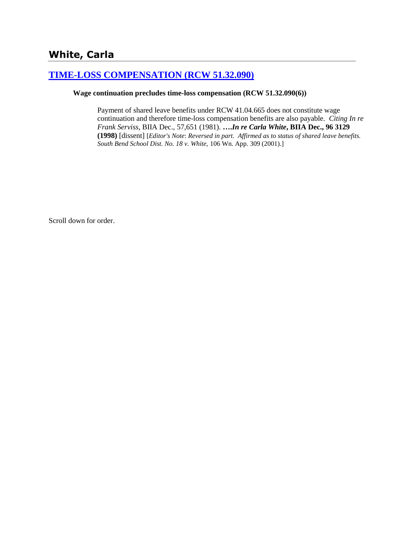# **[TIME-LOSS COMPENSATION \(RCW 51.32.090\)](http://www.biia.wa.gov/SDSubjectIndex.html#TIME_LOSS_COMPENSATION)**

#### **Wage continuation precludes time-loss compensation (RCW 51.32.090(6))**

Payment of shared leave benefits under RCW 41.04.665 does not constitute wage continuation and therefore time-loss compensation benefits are also payable. *Citing In re Frank Serviss*, BIIA Dec., 57,651 (1981). **….***In re Carla White***, BIIA Dec., 96 3129 (1998)** [dissent] [*Editor's Note*: *Reversed in part. Affirmed as to status of shared leave benefits. South Bend School Dist. No. 18 v. White,* 106 Wn. App. 309 (2001).]

Scroll down for order.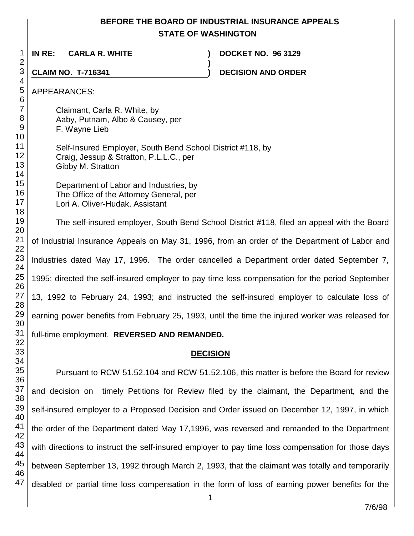## **BEFORE THE BOARD OF INDUSTRIAL INSURANCE APPEALS STATE OF WASHINGTON**

**)**

 **IN RE: CARLA R. WHITE ) DOCKET NO. 96 3129**

**CLAIM NO. T-716341 ) DECISION AND ORDER** 

APPEARANCES:

Claimant, Carla R. White, by Aaby, Putnam, Albo & Causey, per F. Wayne Lieb

Self-Insured Employer, South Bend School District #118, by Craig, Jessup & Stratton, P.L.L.C., per Gibby M. Stratton

Department of Labor and Industries, by The Office of the Attorney General, per

Lori A. Oliver-Hudak, Assistant

The self-insured employer, South Bend School District #118, filed an appeal with the Board of Industrial Insurance Appeals on May 31, 1996, from an order of the Department of Labor and Industries dated May 17, 1996. The order cancelled a Department order dated September 7, 1995; directed the self-insured employer to pay time loss compensation for the period September 13, 1992 to February 24, 1993; and instructed the self-insured employer to calculate loss of earning power benefits from February 25, 1993, until the time the injured worker was released for full-time employment. **REVERSED AND REMANDED.**

## **DECISION**

Pursuant to RCW 51.52.104 and RCW 51.52.106, this matter is before the Board for review and decision on timely Petitions for Review filed by the claimant, the Department, and the self-insured employer to a Proposed Decision and Order issued on December 12, 1997, in which the order of the Department dated May 17,1996, was reversed and remanded to the Department with directions to instruct the self-insured employer to pay time loss compensation for those days between September 13, 1992 through March 2, 1993, that the claimant was totally and temporarily disabled or partial time loss compensation in the form of loss of earning power benefits for the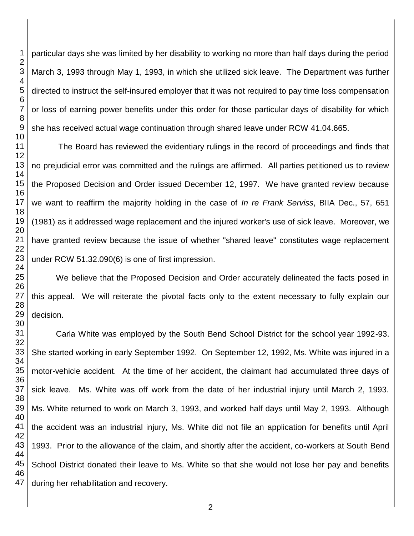particular days she was limited by her disability to working no more than half days during the period March 3, 1993 through May 1, 1993, in which she utilized sick leave. The Department was further directed to instruct the self-insured employer that it was not required to pay time loss compensation or loss of earning power benefits under this order for those particular days of disability for which she has received actual wage continuation through shared leave under RCW 41.04.665.

The Board has reviewed the evidentiary rulings in the record of proceedings and finds that no prejudicial error was committed and the rulings are affirmed. All parties petitioned us to review the Proposed Decision and Order issued December 12, 1997. We have granted review because we want to reaffirm the majority holding in the case of *In re Frank Serviss*, BIIA Dec., 57, 651 (1981) as it addressed wage replacement and the injured worker's use of sick leave. Moreover, we have granted review because the issue of whether "shared leave" constitutes wage replacement under RCW 51.32.090(6) is one of first impression.

We believe that the Proposed Decision and Order accurately delineated the facts posed in this appeal. We will reiterate the pivotal facts only to the extent necessary to fully explain our decision.

 Carla White was employed by the South Bend School District for the school year 1992-93. She started working in early September 1992. On September 12, 1992, Ms. White was injured in a motor-vehicle accident. At the time of her accident, the claimant had accumulated three days of sick leave. Ms. White was off work from the date of her industrial injury until March 2, 1993. Ms. White returned to work on March 3, 1993, and worked half days until May 2, 1993. Although the accident was an industrial injury, Ms. White did not file an application for benefits until April 1993. Prior to the allowance of the claim, and shortly after the accident, co-workers at South Bend School District donated their leave to Ms. White so that she would not lose her pay and benefits during her rehabilitation and recovery.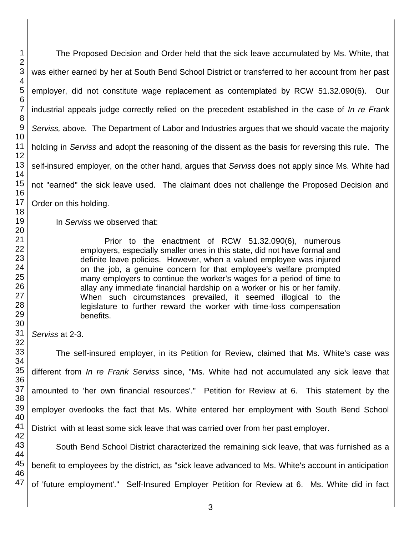The Proposed Decision and Order held that the sick leave accumulated by Ms. White, that was either earned by her at South Bend School District or transferred to her account from her past employer, did not constitute wage replacement as contemplated by RCW 51.32.090(6). Our industrial appeals judge correctly relied on the precedent established in the case of *In re Frank Serviss,* above*.* The Department of Labor and Industries argues that we should vacate the majority holding in *Serviss* and adopt the reasoning of the dissent as the basis for reversing this rule. The self-insured employer, on the other hand, argues that *Serviss* does not apply since Ms. White had not "earned" the sick leave used. The claimant does not challenge the Proposed Decision and Order on this holding.

In *Serviss* we observed that:

Prior to the enactment of RCW 51.32.090(6), numerous employers, especially smaller ones in this state, did not have formal and definite leave policies. However, when a valued employee was injured on the job, a genuine concern for that employee's welfare prompted many employers to continue the worker's wages for a period of time to allay any immediate financial hardship on a worker or his or her family. When such circumstances prevailed, it seemed illogical to the legislature to further reward the worker with time-loss compensation benefits.

*Serviss* at 2-3.

The self-insured employer, in its Petition for Review, claimed that Ms. White's case was different from *In re Frank Serviss* since, "Ms. White had not accumulated any sick leave that amounted to 'her own financial resources'." Petition for Review at 6. This statement by the employer overlooks the fact that Ms. White entered her employment with South Bend School District with at least some sick leave that was carried over from her past employer.

South Bend School District characterized the remaining sick leave, that was furnished as a benefit to employees by the district, as "sick leave advanced to Ms. White's account in anticipation of 'future employment'." Self-Insured Employer Petition for Review at 6. Ms. White did in fact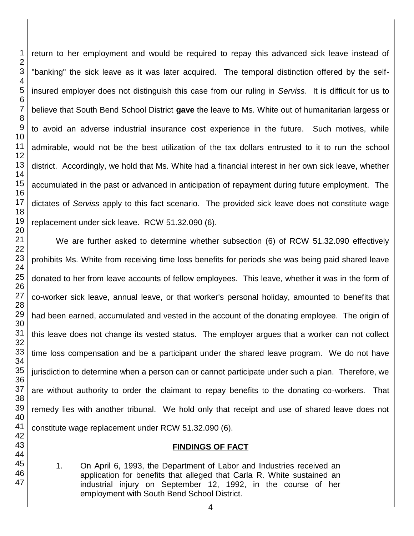return to her employment and would be required to repay this advanced sick leave instead of "banking" the sick leave as it was later acquired. The temporal distinction offered by the selfinsured employer does not distinguish this case from our ruling in *Serviss*. It is difficult for us to believe that South Bend School District **gave** the leave to Ms. White out of humanitarian largess or to avoid an adverse industrial insurance cost experience in the future. Such motives, while admirable, would not be the best utilization of the tax dollars entrusted to it to run the school district. Accordingly, we hold that Ms. White had a financial interest in her own sick leave, whether accumulated in the past or advanced in anticipation of repayment during future employment. The dictates of *Serviss* apply to this fact scenario. The provided sick leave does not constitute wage replacement under sick leave. RCW 51.32.090 (6).

We are further asked to determine whether subsection (6) of RCW 51.32.090 effectively prohibits Ms. White from receiving time loss benefits for periods she was being paid shared leave donated to her from leave accounts of fellow employees. This leave, whether it was in the form of co-worker sick leave, annual leave, or that worker's personal holiday, amounted to benefits that had been earned, accumulated and vested in the account of the donating employee. The origin of this leave does not change its vested status. The employer argues that a worker can not collect time loss compensation and be a participant under the shared leave program. We do not have jurisdiction to determine when a person can or cannot participate under such a plan. Therefore, we are without authority to order the claimant to repay benefits to the donating co-workers. That remedy lies with another tribunal. We hold only that receipt and use of shared leave does not constitute wage replacement under RCW 51.32.090 (6).

### **FINDINGS OF FACT**

1. On April 6, 1993, the Department of Labor and Industries received an application for benefits that alleged that Carla R. White sustained an industrial injury on September 12, 1992, in the course of her employment with South Bend School District.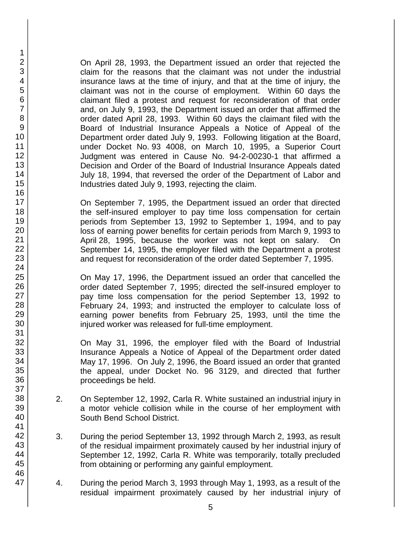On April 28, 1993, the Department issued an order that rejected the claim for the reasons that the claimant was not under the industrial insurance laws at the time of injury, and that at the time of injury, the claimant was not in the course of employment. Within 60 days the claimant filed a protest and request for reconsideration of that order and, on July 9, 1993, the Department issued an order that affirmed the order dated April 28, 1993. Within 60 days the claimant filed with the Board of Industrial Insurance Appeals a Notice of Appeal of the Department order dated July 9, 1993. Following litigation at the Board, under Docket No. 93 4008, on March 10, 1995, a Superior Court Judgment was entered in Cause No. 94-2-00230-1 that affirmed a Decision and Order of the Board of Industrial Insurance Appeals dated July 18, 1994, that reversed the order of the Department of Labor and Industries dated July 9, 1993, rejecting the claim.

On September 7, 1995, the Department issued an order that directed the self-insured employer to pay time loss compensation for certain periods from September 13, 1992 to September 1, 1994, and to pay loss of earning power benefits for certain periods from March 9, 1993 to April 28, 1995, because the worker was not kept on salary. On September 14, 1995, the employer filed with the Department a protest and request for reconsideration of the order dated September 7, 1995.

On May 17, 1996, the Department issued an order that cancelled the order dated September 7, 1995; directed the self-insured employer to pay time loss compensation for the period September 13, 1992 to February 24, 1993; and instructed the employer to calculate loss of earning power benefits from February 25, 1993, until the time the injured worker was released for full-time employment.

On May 31, 1996, the employer filed with the Board of Industrial Insurance Appeals a Notice of Appeal of the Department order dated May 17, 1996. On July 2, 1996, the Board issued an order that granted the appeal, under Docket No. 96 3129, and directed that further proceedings be held.

- 2. On September 12, 1992, Carla R. White sustained an industrial injury in a motor vehicle collision while in the course of her employment with South Bend School District.
- 3. During the period September 13, 1992 through March 2, 1993, as result of the residual impairment proximately caused by her industrial injury of September 12, 1992, Carla R. White was temporarily, totally precluded from obtaining or performing any gainful employment.
- 4. During the period March 3, 1993 through May 1, 1993, as a result of the residual impairment proximately caused by her industrial injury of

1 2 3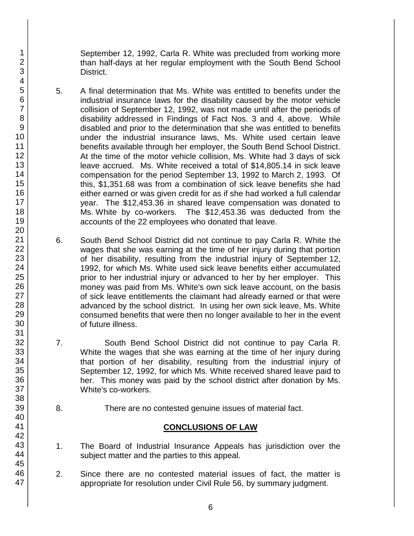September 12, 1992, Carla R. White was precluded from working more than half-days at her regular employment with the South Bend School District.

- 5. A final determination that Ms. White was entitled to benefits under the industrial insurance laws for the disability caused by the motor vehicle collision of September 12, 1992, was not made until after the periods of disability addressed in Findings of Fact Nos. 3 and 4, above. While disabled and prior to the determination that she was entitled to benefits under the industrial insurance laws, Ms. White used certain leave benefits available through her employer, the South Bend School District. At the time of the motor vehicle collision, Ms. White had 3 days of sick leave accrued. Ms. White received a total of \$14,805.14 in sick leave compensation for the period September 13, 1992 to March 2, 1993. Of this, \$1,351.68 was from a combination of sick leave benefits she had either earned or was given credit for as if she had worked a full calendar year. The \$12,453.36 in shared leave compensation was donated to Ms. White by co-workers. The \$12,453.36 was deducted from the accounts of the 22 employees who donated that leave.
- 6. South Bend School District did not continue to pay Carla R. White the wages that she was earning at the time of her injury during that portion of her disability, resulting from the industrial injury of September 12, 1992, for which Ms. White used sick leave benefits either accumulated prior to her industrial injury or advanced to her by her employer. This money was paid from Ms. White's own sick leave account, on the basis of sick leave entitlements the claimant had already earned or that were advanced by the school district. In using her own sick leave, Ms. White consumed benefits that were then no longer available to her in the event of future illness.
- 7. South Bend School District did not continue to pay Carla R. White the wages that she was earning at the time of her injury during that portion of her disability, resulting from the industrial injury of September 12, 1992, for which Ms. White received shared leave paid to her. This money was paid by the school district after donation by Ms. White's co-workers.
- 8. There are no contested genuine issues of material fact.

# **CONCLUSIONS OF LAW**

- 1. The Board of Industrial Insurance Appeals has jurisdiction over the subject matter and the parties to this appeal.
- 2. Since there are no contested material issues of fact, the matter is appropriate for resolution under Civil Rule 56, by summary judgment.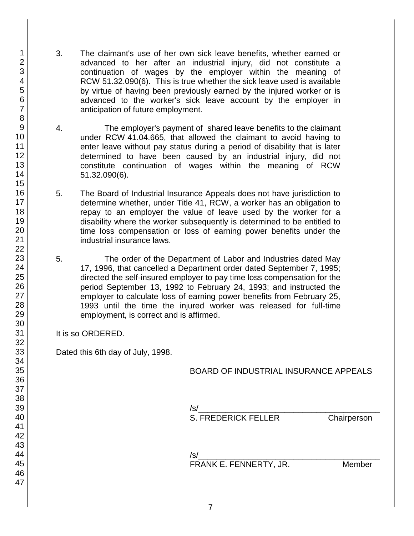- 3. The claimant's use of her own sick leave benefits, whether earned or advanced to her after an industrial injury, did not constitute a continuation of wages by the employer within the meaning of RCW 51.32.090(6). This is true whether the sick leave used is available by virtue of having been previously earned by the injured worker or is advanced to the worker's sick leave account by the employer in anticipation of future employment.
- 4. The employer's payment of shared leave benefits to the claimant under RCW 41.04.665, that allowed the claimant to avoid having to enter leave without pay status during a period of disability that is later determined to have been caused by an industrial injury, did not constitute continuation of wages within the meaning of RCW 51.32.090(6).
- 5. The Board of Industrial Insurance Appeals does not have jurisdiction to determine whether, under Title 41, RCW, a worker has an obligation to repay to an employer the value of leave used by the worker for a disability where the worker subsequently is determined to be entitled to time loss compensation or loss of earning power benefits under the industrial insurance laws.
- 5. The order of the Department of Labor and Industries dated May 17, 1996, that cancelled a Department order dated September 7, 1995; directed the self-insured employer to pay time loss compensation for the period September 13, 1992 to February 24, 1993; and instructed the employer to calculate loss of earning power benefits from February 25, 1993 until the time the injured worker was released for full-time employment, is correct and is affirmed.
- It is so ORDERED.

Dated this 6th day of July, 1998.

## BOARD OF INDUSTRIAL INSURANCE APPEALS

| $\sqrt{s}$                 |             |
|----------------------------|-------------|
| <b>S. FREDERICK FELLER</b> | Chairperson |
| $\sqrt{s}$                 |             |

FRANK E. FENNERTY, JR. Member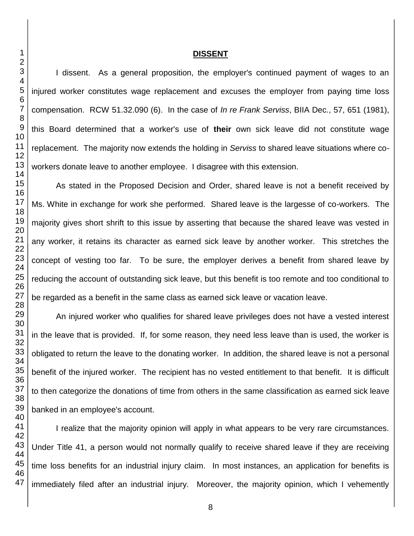### **DISSENT**

I dissent. As a general proposition, the employer's continued payment of wages to an injured worker constitutes wage replacement and excuses the employer from paying time loss compensation. RCW 51.32.090 (6). In the case of *In re Frank Serviss*, BIIA Dec., 57, 651 (1981), this Board determined that a worker's use of **their** own sick leave did not constitute wage replacement. The majority now extends the holding in *Serviss* to shared leave situations where coworkers donate leave to another employee. I disagree with this extension.

As stated in the Proposed Decision and Order, shared leave is not a benefit received by Ms. White in exchange for work she performed. Shared leave is the largesse of co-workers. The majority gives short shrift to this issue by asserting that because the shared leave was vested in any worker, it retains its character as earned sick leave by another worker. This stretches the concept of vesting too far. To be sure, the employer derives a benefit from shared leave by reducing the account of outstanding sick leave, but this benefit is too remote and too conditional to be regarded as a benefit in the same class as earned sick leave or vacation leave.

An injured worker who qualifies for shared leave privileges does not have a vested interest in the leave that is provided. If, for some reason, they need less leave than is used, the worker is obligated to return the leave to the donating worker. In addition, the shared leave is not a personal benefit of the injured worker. The recipient has no vested entitlement to that benefit. It is difficult to then categorize the donations of time from others in the same classification as earned sick leave banked in an employee's account.

I realize that the majority opinion will apply in what appears to be very rare circumstances. Under Title 41, a person would not normally qualify to receive shared leave if they are receiving time loss benefits for an industrial injury claim. In most instances, an application for benefits is immediately filed after an industrial injury. Moreover, the majority opinion, which I vehemently